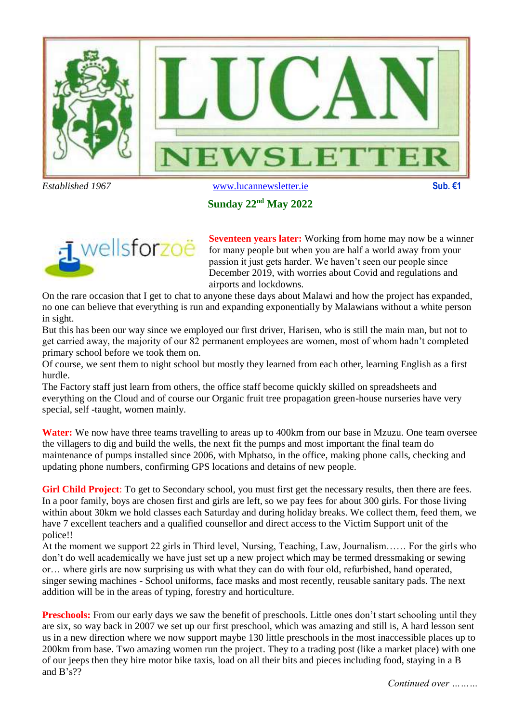

#### **Sunday 22nd May 2022**



**Seventeen years later:** Working from home may now be a winner for many people but when you are half a world away from your passion it just gets harder. We haven't seen our people since December 2019, with worries about Covid and regulations and airports and lockdowns.

On the rare occasion that I get to chat to anyone these days about Malawi and how the project has expanded, no one can believe that everything is run and expanding exponentially by Malawians without a white person in sight.

But this has been our way since we employed our first driver, Harisen, who is still the main man, but not to get carried away, the majority of our 82 permanent employees are women, most of whom hadn't completed primary school before we took them on.

Of course, we sent them to night school but mostly they learned from each other, learning English as a first hurdle.

The Factory staff just learn from others, the office staff become quickly skilled on spreadsheets and everything on the Cloud and of course our Organic fruit tree propagation green-house nurseries have very special, self -taught, women mainly.

**Water:** We now have three teams travelling to areas up to 400km from our base in Mzuzu. One team oversee the villagers to dig and build the wells, the next fit the pumps and most important the final team do maintenance of pumps installed since 2006, with Mphatso, in the office, making phone calls, checking and updating phone numbers, confirming GPS locations and detains of new people.

**Girl Child Project**: To get to Secondary school, you must first get the necessary results, then there are fees. In a poor family, boys are chosen first and girls are left, so we pay fees for about 300 girls. For those living within about 30km we hold classes each Saturday and during holiday breaks. We collect them, feed them, we have 7 excellent teachers and a qualified counsellor and direct access to the Victim Support unit of the police!!

At the moment we support 22 girls in Third level, Nursing, Teaching, Law, Journalism…… For the girls who don't do well academically we have just set up a new project which may be termed dressmaking or sewing or… where girls are now surprising us with what they can do with four old, refurbished, hand operated, singer sewing machines - School uniforms, face masks and most recently, reusable sanitary pads. The next addition will be in the areas of typing, forestry and horticulture.

**Preschools:** From our early days we saw the benefit of preschools. Little ones don't start schooling until they are six, so way back in 2007 we set up our first preschool, which was amazing and still is, A hard lesson sent us in a new direction where we now support maybe 130 little preschools in the most inaccessible places up to 200km from base. Two amazing women run the project. They to a trading post (like a market place) with one of our jeeps then they hire motor bike taxis, load on all their bits and pieces including food, staying in a B and B's??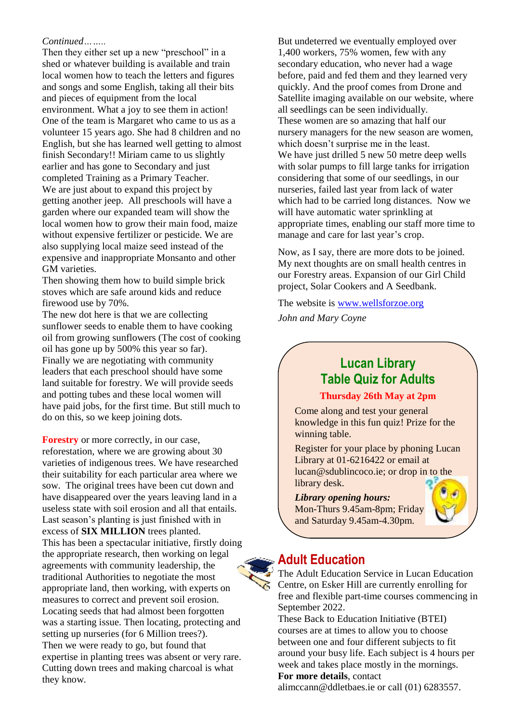#### *Continued……..*

Then they either set up a new "preschool" in a shed or whatever building is available and train local women how to teach the letters and figures and songs and some English, taking all their bits and pieces of equipment from the local environment. What a joy to see them in action! One of the team is Margaret who came to us as a volunteer 15 years ago. She had 8 children and no English, but she has learned well getting to almost finish Secondary!! Miriam came to us slightly earlier and has gone to Secondary and just completed Training as a Primary Teacher. We are just about to expand this project by getting another jeep. All preschools will have a garden where our expanded team will show the local women how to grow their main food, maize without expensive fertilizer or pesticide. We are also supplying local maize seed instead of the expensive and inappropriate Monsanto and other GM varieties.

Then showing them how to build simple brick stoves which are safe around kids and reduce firewood use by 70%.

The new dot here is that we are collecting sunflower seeds to enable them to have cooking oil from growing sunflowers (The cost of cooking oil has gone up by 500% this year so far). Finally we are negotiating with community leaders that each preschool should have some land suitable for forestry. We will provide seeds and potting tubes and these local women will have paid jobs, for the first time. But still much to do on this, so we keep joining dots.

**Forestry** or more correctly, in our case, reforestation, where we are growing about 30 varieties of indigenous trees. We have researched their suitability for each particular area where we sow. The original trees have been cut down and have disappeared over the years leaving land in a useless state with soil erosion and all that entails. Last season's planting is just finished with in excess of **SIX MILLION** trees planted. This has been a spectacular initiative, firstly doing the appropriate research, then working on legal agreements with community leadership, the traditional Authorities to negotiate the most appropriate land, then working, with experts on measures to correct and prevent soil erosion. Locating seeds that had almost been forgotten was a starting issue. Then locating, protecting and setting up nurseries (for 6 Million trees?). Then we were ready to go, but found that expertise in planting trees was absent or very rare. Cutting down trees and making charcoal is what they know.

But undeterred we eventually employed over 1,400 workers, 75% women, few with any secondary education, who never had a wage before, paid and fed them and they learned very quickly. And the proof comes from Drone and Satellite imaging available on our website, where all seedlings can be seen individually. These women are so amazing that half our nursery managers for the new season are women, which doesn't surprise me in the least. We have just drilled 5 new 50 metre deep wells with solar pumps to fill large tanks for irrigation considering that some of our seedlings, in our nurseries, failed last year from lack of water which had to be carried long distances. Now we will have automatic water sprinkling at appropriate times, enabling our staff more time to manage and care for last year's crop.

Now, as I say, there are more dots to be joined. My next thoughts are on small health centres in our Forestry areas. Expansion of our Girl Child project, Solar Cookers and A Seedbank.

The website is [www.wellsforzoe.org](http://www.wellsforzoe.org/) *John and Mary Coyne*

# **Lucan Library Table Quiz for Adults**

#### **Thursday 26th May at 2pm**

Come along and test your general knowledge in this fun quiz! Prize for the winning table.

Register for your place by phoning Lucan Library at 01-6216422 or email at lucan@sdublincoco.ie; or drop in to the library desk.

#### *Library opening hours:*

Mon-Thurs 9.45am-8pm; Friday and Saturday 9.45am-4.30pm.

### **Adult Education**

The Adult Education Service in Lucan Education Centre, on Esker Hill are currently enrolling for free and flexible part-time courses commencing in September 2022.

These Back to Education Initiative (BTEI) courses are at times to allow you to choose between one and four different subjects to fit around your busy life. Each subject is 4 hours per week and takes place mostly in the mornings. **For more details**, contact

alimccann@ddletbaes.ie or call (01) 6283557.

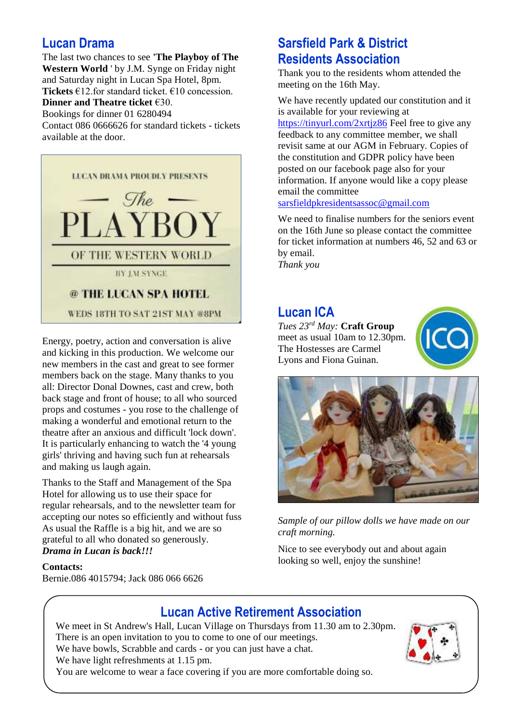### **Lucan Drama**

The last two chances to see **'The Playboy of The Western World** ' by J.M. Synge on Friday night and Saturday night in Lucan Spa Hotel, 8pm. **Tickets** €12.for standard ticket. €10 concession.

### **Dinner and Theatre ticket** €30.

Bookings for dinner 01 6280494

Contact 086 0666626 for standard tickets - tickets available at the door.



Energy, poetry, action and conversation is alive and kicking in this production. We welcome our new members in the cast and great to see former members back on the stage. Many thanks to you all: Director Donal Downes, cast and crew, both back stage and front of house; to all who sourced props and costumes - you rose to the challenge of making a wonderful and emotional return to the theatre after an anxious and difficult 'lock down'. It is particularly enhancing to watch the '4 young girls' thriving and having such fun at rehearsals and making us laugh again.

Thanks to the Staff and Management of the Spa Hotel for allowing us to use their space for regular rehearsals, and to the newsletter team for accepting our notes so efficiently and without fuss As usual the Raffle is a big hit, and we are so grateful to all who donated so generously. *Drama in Lucan is back!!!*

#### **Contacts:**

Bernie.086 4015794; Jack 086 066 6626

# **Sarsfield Park & District Residents Association**

Thank you to the residents whom attended the meeting on the 16th May.

We have recently updated our constitution and it is available for your reviewing at <https://tinyurl.com/2xrtjz86> Feel free to give any feedback to any committee member, we shall revisit same at our AGM in February. Copies of the constitution and GDPR policy have been posted on our facebook page also for your information. If anyone would like a copy please email the committee

[sarsfieldpkresidentsassoc@gmail.com](mailto:sarsfieldpkresidentsassoc@gmail.com)

We need to finalise numbers for the seniors event on the 16th June so please contact the committee for ticket information at numbers 46, 52 and 63 or by email. *Thank you*

### **Lucan ICA**

*Tues 23rd May:* **Craft Group** meet as usual 10am to 12.30pm. The Hostesses are Carmel Lyons and Fiona Guinan.





*Sample of our pillow dolls we have made on our craft morning.*

Nice to see everybody out and about again looking so well, enjoy the sunshine!

# **Lucan Active Retirement Association**

We meet in St Andrew's Hall, Lucan Village on Thursdays from 11.30 am to 2.30pm. There is an open invitation to you to come to one of our meetings. We have bowls, Scrabble and cards - or you can just have a chat. We have light refreshments at 1.15 pm. You are welcome to wear a face covering if you are more comfortable doing so.

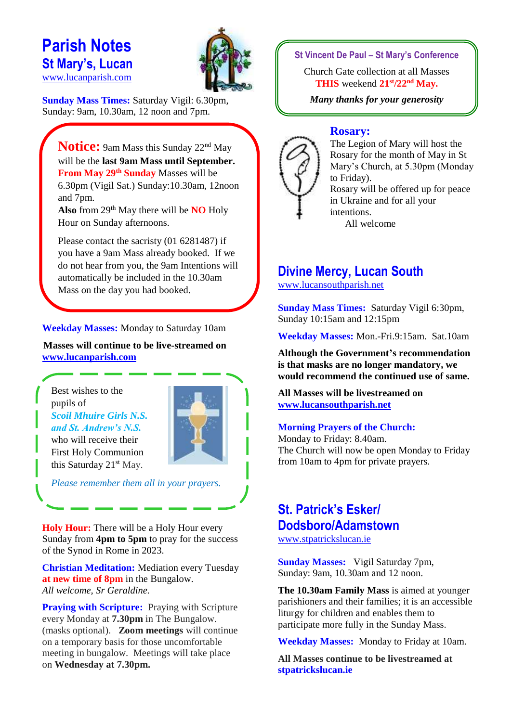# **Parish Notes St Mary's, Lucan**  [www.lucanparish.com](http://www.lucanparish.com/)



**Sunday Mass Times:** Saturday Vigil: 6.30pm, Sunday: 9am, 10.30am, 12 noon and 7pm.

**Notice:** 9am Mass this Sunday 22<sup>nd</sup> May will be the **last 9am Mass until September. From May 29th Sunday** Masses will be 6.30pm (Vigil Sat.) Sunday:10.30am, 12noon and 7pm. **Also** from 29th May there will be **NO** Holy

Hour on Sunday afternoons.

Please contact the sacristy (01 6281487) if you have a 9am Mass already booked. If we do not hear from you, the 9am Intentions will automatically be included in the 10.30am Mass on the day you had booked.

**Weekday Masses:** Monday to Saturday 10am

**Masses will continue to be live-streamed on [www.lucanparish.com](http://www.lucanparish.com/)**

Best wishes to the pupils of *Scoil Mhuire Girls N.S. and St. Andrew's N.S.*  who will receive their

First Holy Communion this Saturday 21<sup>st</sup> May.



*Please remember them all in your prayers.*

**Holy Hour:** There will be a Holy Hour every Sunday from **4pm to 5pm** to pray for the success of the Synod in Rome in 2023.

**Christian Meditation:** Mediation every Tuesday **at new time of 8pm** in the Bungalow. *All welcome, Sr Geraldine.*

**Praying with Scripture:** Praying with Scripture every Monday at **7.30pm** in The Bungalow. (masks optional). **Zoom meetings** will continue on a temporary basis for those uncomfortable meeting in bungalow. Meetings will take place on **Wednesday at 7.30pm.**

**St Vincent De Paul – St Mary's Conference**

Church Gate collection at all Masses **THIS** weekend **21st/22nd May.**

*Many thanks for your generosity*

#### **Rosary:**



The Legion of Mary will host the Rosary for the month of May in St Mary's Church, at 5.30pm (Monday to Friday). Rosary will be offered up for peace in Ukraine and for all your

intentions. All welcome

### **Divine Mercy, Lucan South**

[www.lucansouthparish.net](http://www.lucansouthparish.net/)

**Sunday Mass Times:** Saturday Vigil 6:30pm, Sunday 10:15am and 12:15pm

**Weekday Masses:** Mon.-Fri.9:15am. Sat.10am

**Although the Government's recommendation is that masks are no longer mandatory, we would recommend the continued use of same.**

**All Masses will be livestreamed on [www.lucansouthparish.net](http://www.lucansouthparish.net/)**

#### **Morning Prayers of the Church:**

Monday to Friday: 8.40am. The Church will now be open Monday to Friday from 10am to 4pm for private prayers.

# **St. Patrick's Esker/ Dodsboro/Adamstown**

[www.stpatrickslucan.ie](http://www.stpatrickslucan.ie/)

**Sunday Masses:** Vigil Saturday 7pm, Sunday: 9am, 10.30am and 12 noon.

**The 10.30am Family Mass** is aimed at younger parishioners and their families; it is an accessible liturgy for children and enables them to participate more fully in the Sunday Mass.

**Weekday Masses:** Monday to Friday at 10am.

**All Masses continue to be livestreamed at stpatrickslucan.ie**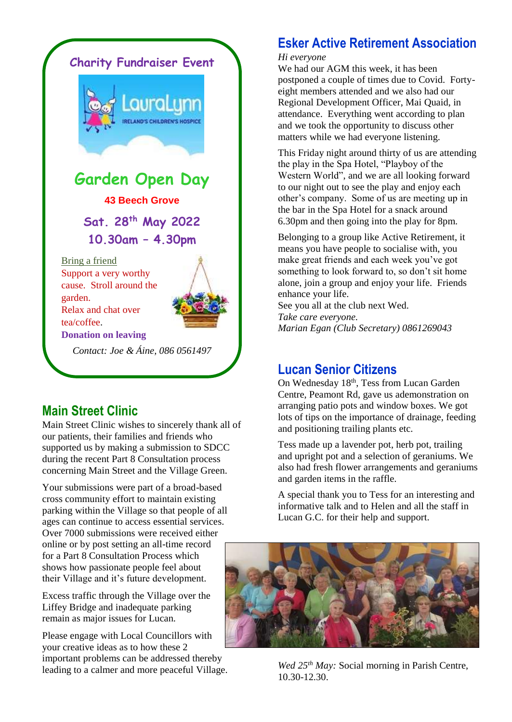

### **Main Street Clinic**

Main Street Clinic wishes to sincerely thank all of our patients, their families and friends who supported us by making a submission to SDCC during the recent Part 8 Consultation process concerning Main Street and the Village Green.

Your submissions were part of a broad-based cross community effort to maintain existing parking within the Village so that people of all ages can continue to access essential services. Over 7000 submissions were received either online or by post setting an all-time record for a Part 8 Consultation Process which shows how passionate people feel about their Village and it's future development.

Excess traffic through the Village over the Liffey Bridge and inadequate parking remain as major issues for Lucan.

Please engage with Local Councillors with your creative ideas as to how these 2 important problems can be addressed thereby leading to a calmer and more peaceful Village.

# **Esker Active Retirement Association**

#### *Hi everyone*

We had our AGM this week, it has been postponed a couple of times due to Covid. Fortyeight members attended and we also had our Regional Development Officer, Mai Quaid, in attendance. Everything went according to plan and we took the opportunity to discuss other matters while we had everyone listening.

This Friday night around thirty of us are attending the play in the Spa Hotel, "Playboy of the Western World", and we are all looking forward to our night out to see the play and enjoy each other's company. Some of us are meeting up in the bar in the Spa Hotel for a snack around 6.30pm and then going into the play for 8pm.

Belonging to a group like Active Retirement, it means you have people to socialise with, you make great friends and each week you've got something to look forward to, so don't sit home alone, join a group and enjoy your life. Friends enhance your life.

See you all at the club next Wed. *Take care everyone. Marian Egan (Club Secretary) 0861269043*

### **Lucan Senior Citizens**

On Wednesday 18<sup>th</sup>, Tess from Lucan Garden Centre, Peamont Rd, gave us ademonstration on arranging patio pots and window boxes. We got lots of tips on the importance of drainage, feeding and positioning trailing plants etc.

Tess made up a lavender pot, herb pot, trailing and upright pot and a selection of geraniums. We also had fresh flower arrangements and geraniums and garden items in the raffle.

A special thank you to Tess for an interesting and informative talk and to Helen and all the staff in Lucan G.C. for their help and support.



*Wed 25th May:* Social morning in Parish Centre, 10.30-12.30.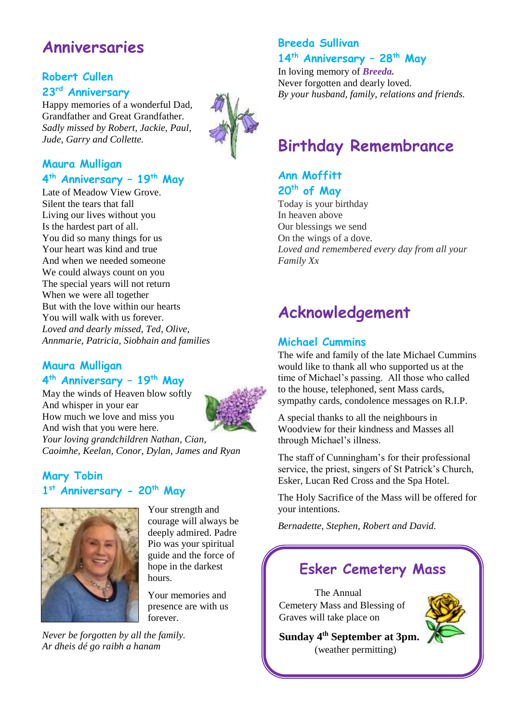# **Anniversaries**

### **Robert Cullen 23rd Anniversary**

Happy memories of a wonderful Dad, Grandfather and Great Grandfather. *Sadly missed by Robert, Jackie, Paul, Jude, Garry and Collette.* 



### **Maura Mulligan 4 th Anniversary – 19th May**

Late of Meadow View Grove. Silent the tears that fall Living our lives without you Is the hardest part of all. You did so many things for us Your heart was kind and true And when we needed someone We could always count on you The special years will not return When we were all together But with the love within our hearts You will walk with us forever. *Loved and dearly missed, Ted, Olive, Annmarie, Patricia, Siobhain and families* 

### **Maura Mulligan**

#### **4 th Anniversary – 19th May**

May the winds of Heaven blow softly And whisper in your ear How much we love and miss you And wish that you were here. *Your loving grandchildren Nathan, Cian, Caoimhe, Keelan, Conor, Dylan, James and Ryan*

### **Mary Tobin 1 st Anniversary - 20th May**



Your strength and courage will always be deeply admired. Padre Pio was your spiritual guide and the force of hope in the darkest hours.

Your memories and presence are with us forever.

*Never be forgotten by all the family. Ar dheis dé go raibh a hanam*

# **Breeda Sullivan**

### **14th Anniversary – 28th May**

In loving memory of *Breeda.* Never forgotten and dearly loved. *By your husband, family, relations and friends.* 

# **Birthday Remembrance**

### **Ann Moffitt 20th of May**

Today is your birthday In heaven above Our blessings we send On the wings of a dove. *Loved and remembered every day from all your Family Xx*

# **Acknowledgement**

### **Michael Cummins**

The wife and family of the late Michael Cummins would like to thank all who supported us at the time of Michael's passing. All those who called to the house, telephoned, sent Mass cards, sympathy cards, condolence messages on R.I.P.

A special thanks to all the neighbours in Woodview for their kindness and Masses all through Michael's illness.

The staff of Cunningham's for their professional service, the priest, singers of St Patrick's Church, Esker, Lucan Red Cross and the Spa Hotel.

The Holy Sacrifice of the Mass will be offered for your intentions.

*Bernadette, Stephen, Robert and David.*

# **Esker Cemetery Mass**

The Annual Cemetery Mass and Blessing of Graves will take place on



**Sunday 4th September at 3pm.** (weather permitting)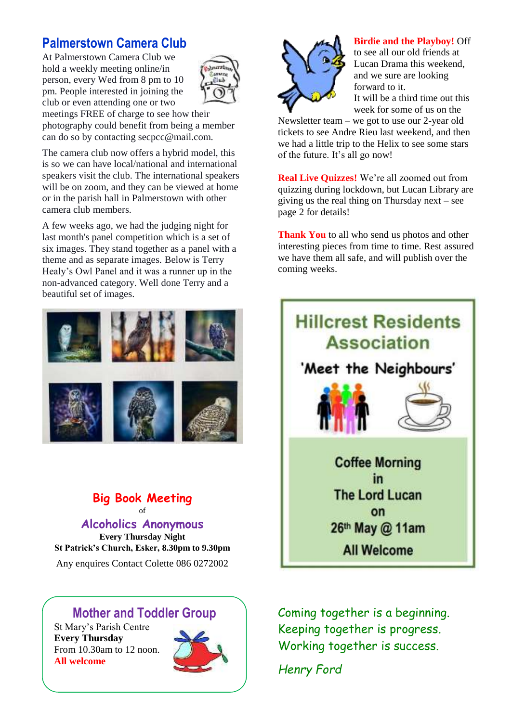# **Palmerstown Camera Club**

At Palmerstown Camera Club we hold a weekly meeting online/in person, every Wed from 8 pm to 10 pm. People interested in joining the club or even attending one or two



meetings FREE of charge to see how their photography could benefit from being a member can do so by contacting secpcc@mail.com.

The camera club now offers a hybrid model, this is so we can have local/national and international speakers visit the club. The international speakers will be on zoom, and they can be viewed at home or in the parish hall in Palmerstown with other camera club members.

A few weeks ago, we had the judging night for last month's panel competition which is a set of six images. They stand together as a panel with a theme and as separate images. Below is Terry Healy's Owl Panel and it was a runner up in the non-advanced category. Well done Terry and a beautiful set of images.



#### **Big Book Meeting**  of

**Alcoholics Anonymous Every Thursday Night St Patrick's Church, Esker, 8.30pm to 9.30pm** Any enquires Contact Colette 086 0272002

# **Mother and Toddler Group**

St Mary's Parish Centre **Every Thursday**  From 10.30am to 12 noon. **All welcome**





**Birdie and the Playboy!** Off

to see all our old friends at Lucan Drama this weekend, and we sure are looking forward to it. It will be a third time out this

week for some of us on the

Newsletter team – we got to use our 2-year old tickets to see Andre Rieu last weekend, and then we had a little trip to the Helix to see some stars of the future. It's all go now!

**Real Live Quizzes!** We're all zoomed out from quizzing during lockdown, but Lucan Library are giving us the real thing on Thursday next – see page 2 for details!

**Thank You** to all who send us photos and other interesting pieces from time to time. Rest assured we have them all safe, and will publish over the coming weeks.



Coming together is a beginning. Keeping together is progress. Working together is success.

*Henry Ford*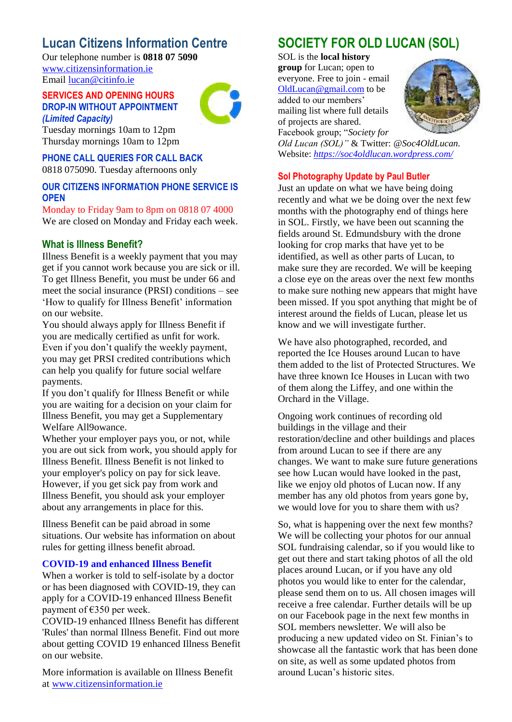## **Lucan Citizens Information Centre**

Our telephone number is **0818 07 5090** [www.citizensinformation.ie](http://www.citizensinformation.ie/) Email [lucan@citinfo.ie](mailto:lucan@citinfo.ie)

#### **SERVICES AND OPENING HOURS DROP-IN WITHOUT APPOINTMENT**  *(Limited Capacity)*



Tuesday mornings 10am to 12pm Thursday mornings 10am to 12pm

**PHONE CALL QUERIES FOR CALL BACK**  0818 075090. Tuesday afternoons only

#### **OUR CITIZENS INFORMATION PHONE SERVICE IS OPEN**

Monday to Friday 9am to 8pm on 0818 07 4000 We are closed on Monday and Friday each week.

### **What is Illness Benefit?**

Illness Benefit is a weekly payment that you may get if you cannot work because you are sick or ill. To get Illness Benefit, you must be under 66 and meet the social insurance (PRSI) conditions – see 'How to qualify for Illness Benefit' information on our website.

You should always apply for Illness Benefit if you are medically certified as unfit for work. Even if you don't qualify the weekly payment, you may get PRSI credited contributions which can help you qualify for future social welfare payments.

If you don't qualify for Illness Benefit or while you are waiting for a decision on your claim for Illness Benefit, you may get a Supplementary Welfare All9owance.

Whether your employer pays you, or not, while you are out sick from work, you should apply for Illness Benefit. Illness Benefit is not linked to your employer's policy on pay for sick leave. However, if you get sick pay from work and Illness Benefit, you should ask your employer about any arrangements in place for this.

Illness Benefit can be paid abroad in some situations. Our website has information on about rules for getting illness benefit abroad.

#### **COVID-19 and enhanced Illness Benefit**

When a worker is told to self-isolate by a doctor or has been diagnosed with COVID-19, they can apply for a COVID-19 enhanced Illness Benefit payment of €350 per week.

COVID-19 enhanced Illness Benefit has different 'Rules' than normal Illness Benefit. Find out more about getting COVID 19 enhanced Illness Benefit on our website.

More information is available on Illness Benefit at [www.citizensinformation.ie](http://www.citizensinformation.ie/)

# **SOCIETY FOR OLD LUCAN (SOL)**

SOL is the **local history** 

**group** for Lucan; open to everyone. Free to join - email [OldLucan@gmail.com](mailto:OldLucan@gmail.com) to be added to our members'





Facebook group; "*Society for Old Lucan (SOL)"* & Twitter: *@Soc4OldLucan.* Website: *<https://soc4oldlucan.wordpress.com/>*

#### **Sol Photography Update by Paul Butler**

Just an update on what we have being doing recently and what we be doing over the next few months with the photography end of things here in SOL. Firstly, we have been out scanning the fields around St. Edmundsbury with the drone looking for crop marks that have yet to be identified, as well as other parts of Lucan, to make sure they are recorded. We will be keeping a close eye on the areas over the next few months to make sure nothing new appears that might have been missed. If you spot anything that might be of interest around the fields of Lucan, please let us know and we will investigate further.

We have also photographed, recorded, and reported the Ice Houses around Lucan to have them added to the list of Protected Structures. We have three known Ice Houses in Lucan with two of them along the Liffey, and one within the Orchard in the Village.

Ongoing work continues of recording old buildings in the village and their restoration/decline and other buildings and places from around Lucan to see if there are any changes. We want to make sure future generations see how Lucan would have looked in the past, like we enjoy old photos of Lucan now. If any member has any old photos from years gone by, we would love for you to share them with us?

So, what is happening over the next few months? We will be collecting your photos for our annual SOL fundraising calendar, so if you would like to get out there and start taking photos of all the old places around Lucan, or if you have any old photos you would like to enter for the calendar, please send them on to us. All chosen images will receive a free calendar. Further details will be up on our Facebook page in the next few months in SOL members newsletter. We will also be producing a new updated video on St. Finian's to showcase all the fantastic work that has been done on site, as well as some updated photos from around Lucan's historic sites.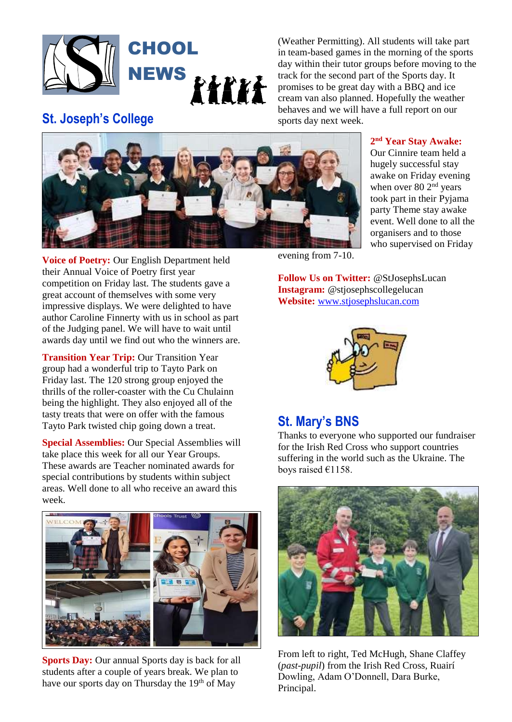

(Weather Permitting). All students will take part in team-based games in the morning of the sports day within their tutor groups before moving to the track for the second part of the Sports day. It promises to be great day with a BBQ and ice cream van also planned. Hopefully the weather behaves and we will have a full report on our sports day next week.

# **St. Joseph's College**



#### **2 nd Year Stay Awake:**

Our Cinnire team held a hugely successful stay awake on Friday evening when over 80 2<sup>nd</sup> years took part in their Pyjama party Theme stay awake event. Well done to all the organisers and to those who supervised on Friday

**Voice of Poetry:** Our English Department held their Annual Voice of Poetry first year competition on Friday last. The students gave a great account of themselves with some very impressive displays. We were delighted to have author Caroline Finnerty with us in school as part of the Judging panel. We will have to wait until awards day until we find out who the winners are.

**Transition Year Trip:** Our Transition Year group had a wonderful trip to Tayto Park on Friday last. The 120 strong group enjoyed the thrills of the roller-coaster with the Cu Chulainn being the highlight. They also enjoyed all of the tasty treats that were on offer with the famous Tayto Park twisted chip going down a treat.

**Special Assemblies:** Our Special Assemblies will take place this week for all our Year Groups. These awards are Teacher nominated awards for special contributions by students within subject areas. Well done to all who receive an award this week.



**Sports Day:** Our annual Sports day is back for all students after a couple of years break. We plan to have our sports day on Thursday the  $19<sup>th</sup>$  of May

evening from 7-10.

**Follow Us on Twitter:** @StJosephsLucan **Instagram:** @stjosephscollegelucan **Website:** [www.stjosephslucan.com](http://www.stjosephslucan.com/)



### **St. Mary's BNS**

Thanks to everyone who supported our fundraiser for the Irish Red Cross who support countries suffering in the world such as the Ukraine. The boys raised €1158.



From left to right, Ted McHugh, Shane Claffey (*past-pupil*) from the Irish Red Cross, Ruairí Dowling, Adam O'Donnell, Dara Burke, Principal.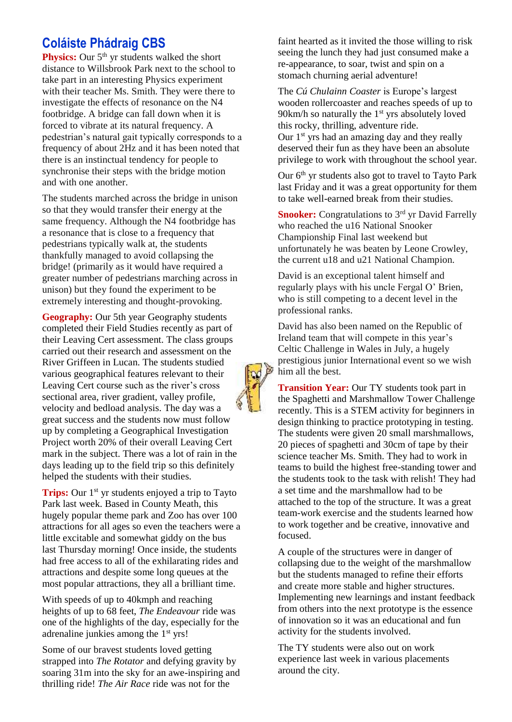# **Coláiste Phádraig CBS**

**Physics:** Our 5<sup>th</sup> yr students walked the short distance to Willsbrook Park next to the school to take part in an interesting Physics experiment with their teacher Ms. Smith. They were there to investigate the effects of resonance on the N4 footbridge. A bridge can fall down when it is forced to vibrate at its natural frequency. A pedestrian's natural gait typically corresponds to a frequency of about 2Hz and it has been noted that there is an instinctual tendency for people to synchronise their steps with the bridge motion and with one another.

The students marched across the bridge in unison so that they would transfer their energy at the same frequency. Although the N4 footbridge has a resonance that is close to a frequency that pedestrians typically walk at, the students thankfully managed to avoid collapsing the bridge! (primarily as it would have required a greater number of pedestrians marching across in unison) but they found the experiment to be extremely interesting and thought-provoking.

**Geography:** Our 5th year Geography students completed their Field Studies recently as part of their Leaving Cert assessment. The class groups carried out their research and assessment on the River Griffeen in Lucan. The students studied various geographical features relevant to their Leaving Cert course such as the river's cross sectional area, river gradient, valley profile, velocity and bedload analysis. The day was a great success and the students now must follow up by completing a Geographical Investigation Project worth 20% of their overall Leaving Cert mark in the subject. There was a lot of rain in the days leading up to the field trip so this definitely helped the students with their studies.

**Trips:** Our 1<sup>st</sup> yr students enjoyed a trip to Tayto Park last week. Based in County Meath, this hugely popular theme park and Zoo has over 100 attractions for all ages so even the teachers were a little excitable and somewhat giddy on the bus last Thursday morning! Once inside, the students had free access to all of the exhilarating rides and attractions and despite some long queues at the most popular attractions, they all a brilliant time.

With speeds of up to 40kmph and reaching heights of up to 68 feet, *The Endeavour* ride was one of the highlights of the day, especially for the adrenaline junkies among the 1<sup>st</sup> yrs!

Some of our bravest students loved getting strapped into *The Rotator* and defying gravity by soaring 31m into the sky for an awe-inspiring and thrilling ride! *The Air Race* ride was not for the

faint hearted as it invited the those willing to risk seeing the lunch they had just consumed make a re-appearance, to soar, twist and spin on a stomach churning aerial adventure!

The *Cú Chulainn Coaster* is Europe's largest wooden rollercoaster and reaches speeds of up to  $90km/h$  so naturally the  $1<sup>st</sup>$  yrs absolutely loved this rocky, thrilling, adventure ride.

Our  $1<sup>st</sup>$  yrs had an amazing day and they really deserved their fun as they have been an absolute privilege to work with throughout the school year.

Our 6<sup>th</sup> yr students also got to travel to Tayto Park last Friday and it was a great opportunity for them to take well-earned break from their studies.

**Snooker:** Congratulations to 3<sup>rd</sup> yr David Farrelly who reached the u16 National Snooker Championship Final last weekend but unfortunately he was beaten by Leone Crowley, the current u18 and u21 National Champion.

David is an exceptional talent himself and regularly plays with his uncle Fergal O' Brien, who is still competing to a decent level in the professional ranks.

David has also been named on the Republic of Ireland team that will compete in this year's Celtic Challenge in Wales in July, a hugely prestigious junior International event so we wish him all the best.

**Transition Year:** Our TY students took part in the Spaghetti and Marshmallow Tower Challenge recently. This is a STEM activity for beginners in design thinking to practice prototyping in testing. The students were given 20 small marshmallows, 20 pieces of spaghetti and 30cm of tape by their science teacher Ms. Smith. They had to work in teams to build the highest free-standing tower and the students took to the task with relish! They had a set time and the marshmallow had to be attached to the top of the structure. It was a great team-work exercise and the students learned how to work together and be creative, innovative and focused.

A couple of the structures were in danger of collapsing due to the weight of the marshmallow but the students managed to refine their efforts and create more stable and higher structures. Implementing new learnings and instant feedback from others into the next prototype is the essence of innovation so it was an educational and fun activity for the students involved.

The TY students were also out on work experience last week in various placements around the city.

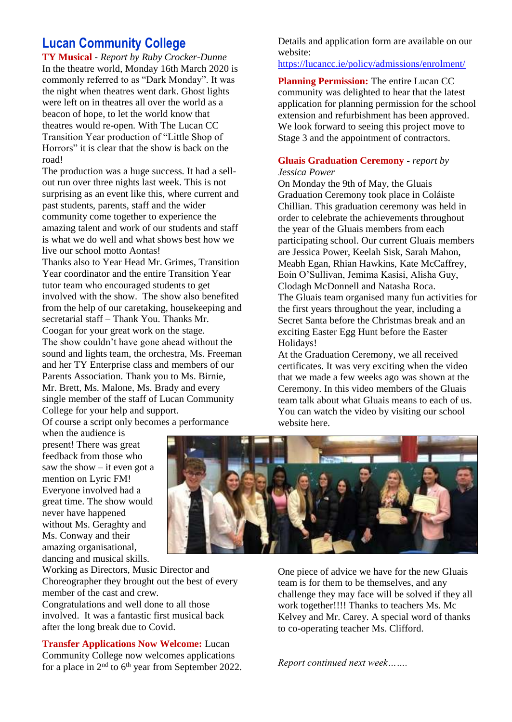### **Lucan Community College**

**TY Musical -** *Report by Ruby Crocker-Dunne* In the theatre world, Monday 16th March 2020 is commonly referred to as "Dark Monday". It was the night when theatres went dark. Ghost lights were left on in theatres all over the world as a beacon of hope, to let the world know that theatres would re-open. With The Lucan CC Transition Year production of "Little Shop of Horrors" it is clear that the show is back on the road!

The production was a huge success. It had a sellout run over three nights last week. This is not surprising as an event like this, where current and past students, parents, staff and the wider community come together to experience the amazing talent and work of our students and staff is what we do well and what shows best how we live our school motto Aontas!

Thanks also to Year Head Mr. Grimes, Transition Year coordinator and the entire Transition Year tutor team who encouraged students to get involved with the show. The show also benefited from the help of our caretaking, housekeeping and secretarial staff – Thank You. Thanks Mr. Coogan for your great work on the stage. The show couldn't have gone ahead without the sound and lights team, the orchestra, Ms. Freeman and her TY Enterprise class and members of our Parents Association. Thank you to Ms. Birnie, Mr. Brett, Ms. Malone, Ms. Brady and every single member of the staff of Lucan Community College for your help and support.

Of course a script only becomes a performance when the audience is

present! There was great feedback from those who saw the show  $-$  it even got a mention on Lyric FM! Everyone involved had a great time. The show would never have happened without Ms. Geraghty and Ms. Conway and their amazing organisational, dancing and musical skills.

Working as Directors, Music Director and Choreographer they brought out the best of every member of the cast and crew. Congratulations and well done to all those involved. It was a fantastic first musical back after the long break due to Covid.

**Transfer Applications Now Welcome:** Lucan Community College now welcomes applications for a place in  $2<sup>nd</sup>$  to  $6<sup>th</sup>$  year from September 2022. Details and application form are available on our website:

<https://lucancc.ie/policy/admissions/enrolment/>

**Planning Permission:** The entire Lucan CC community was delighted to hear that the latest application for planning permission for the school extension and refurbishment has been approved. We look forward to seeing this project move to Stage 3 and the appointment of contractors.

#### **Gluais Graduation Ceremony** - *report by Jessica Power*

On Monday the 9th of May, the Gluais Graduation Ceremony took place in Coláiste Chillian. This graduation ceremony was held in order to celebrate the achievements throughout the year of the Gluais members from each participating school. Our current Gluais members are Jessica Power, Keelah Sisk, Sarah Mahon, Meabh Egan, Rhian Hawkins, Kate McCaffrey, Eoin O'Sullivan, Jemima Kasisi, Alisha Guy, Clodagh McDonnell and Natasha Roca. The Gluais team organised many fun activities for the first years throughout the year, including a Secret Santa before the Christmas break and an exciting Easter Egg Hunt before the Easter Holidays!

At the Graduation Ceremony, we all received certificates. It was very exciting when the video that we made a few weeks ago was shown at the Ceremony. In this video members of the Gluais team talk about what Gluais means to each of us. You can watch the video by visiting our school website here.



challenge they may face will be solved if they all work together!!!! Thanks to teachers Ms. Mc Kelvey and Mr. Carey. A special word of thanks to co-operating teacher Ms. Clifford.

*Report continued next week…….*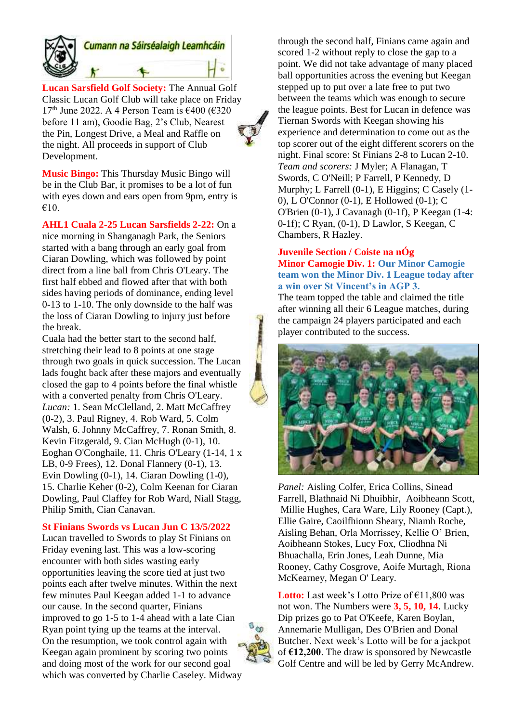

# Cumann na Sáirséalaigh Leamhcáin

**Lucan Sarsfield Golf Society:** The Annual Golf Classic Lucan Golf Club will take place on Friday 17<sup>th</sup> June 2022. A 4 Person Team is  $\epsilon$ 400 ( $\epsilon$ 320 before 11 am), Goodie Bag, 2's Club, Nearest the Pin, Longest Drive, a Meal and Raffle on the night. All proceeds in support of Club Development.

**Music Bingo:** This Thursday Music Bingo will be in the Club Bar, it promises to be a lot of fun with eyes down and ears open from 9pm, entry is €10.

**AHL1 Cuala 2-25 Lucan Sarsfields 2-22:** On a nice morning in Shanganagh Park, the Seniors started with a bang through an early goal from Ciaran Dowling, which was followed by point direct from a line ball from Chris O'Leary. The first half ebbed and flowed after that with both sides having periods of dominance, ending level 0-13 to 1-10. The only downside to the half was the loss of Ciaran Dowling to injury just before the break.

Cuala had the better start to the second half, stretching their lead to 8 points at one stage through two goals in quick succession. The Lucan lads fought back after these majors and eventually closed the gap to 4 points before the final whistle with a converted penalty from Chris O'Leary. *Lucan:* 1. Sean McClelland, 2. Matt McCaffrey (0-2), 3. Paul Rigney, 4. Rob Ward, 5. Colm Walsh, 6. Johnny McCaffrey, 7. Ronan Smith, 8. Kevin Fitzgerald, 9. Cian McHugh (0-1), 10. Eoghan O'Conghaile, 11. Chris O'Leary (1-14, 1 x LB, 0-9 Frees), 12. Donal Flannery (0-1), 13. Evin Dowling (0-1), 14. Ciaran Dowling (1-0), 15. Charlie Keher (0-2), Colm Keenan for Ciaran Dowling, Paul Claffey for Rob Ward, Niall Stagg, Philip Smith, Cian Canavan.

#### **St Finians Swords vs Lucan Jun C 13/5/2022**

Lucan travelled to Swords to play St Finians on Friday evening last. This was a low-scoring encounter with both sides wasting early opportunities leaving the score tied at just two points each after twelve minutes. Within the next few minutes Paul Keegan added 1-1 to advance our cause. In the second quarter, Finians improved to go 1-5 to 1-4 ahead with a late Cian Ryan point tying up the teams at the interval. On the resumption, we took control again with Keegan again prominent by scoring two points and doing most of the work for our second goal which was converted by Charlie Caseley. Midway through the second half, Finians came again and scored 1-2 without reply to close the gap to a point. We did not take advantage of many placed ball opportunities across the evening but Keegan stepped up to put over a late free to put two between the teams which was enough to secure the league points. Best for Lucan in defence was Tiernan Swords with Keegan showing his experience and determination to come out as the top scorer out of the eight different scorers on the night. Final score: St Finians 2-8 to Lucan 2-10. *Team and scorers:* J Myler; A Flanagan, T Swords, C O'Neill; P Farrell, P Kennedy, D Murphy; L Farrell (0-1), E Higgins; C Casely (1- 0), L O'Connor (0-1), E Hollowed (0-1); C O'Brien (0-1), J Cavanagh (0-1f), P Keegan (1-4: 0-1f); C Ryan, (0-1), D Lawlor, S Keegan, C Chambers, R Hazley.

#### **Juvenile Section / Coiste na nÓg Minor Camogie Div. 1: Our Minor Camogie team won the Minor Div. 1 League today after a win over St Vincent's in AGP 3.**

The team topped the table and claimed the title after winning all their 6 League matches, during the campaign 24 players participated and each player contributed to the success.



*Panel:* Aisling Colfer, Erica Collins, Sinead Farrell, Blathnaid Ni Dhuibhir, Aoibheann Scott, Millie Hughes, Cara Ware, Lily Rooney (Capt.), Ellie Gaire, Caoilfhionn Sheary, Niamh Roche, Aisling Behan, Orla Morrissey, Kellie O' Brien, Aoibheann Stokes, Lucy Fox, Cliodhna Ni Bhuachalla, Erin Jones, Leah Dunne, Mia Rooney, Cathy Cosgrove, Aoife Murtagh, Riona McKearney, Megan O' Leary.

**Lotto:** Last week's Lotto Prize of €11,800 was not won. The Numbers were **3, 5, 10, 14**. Lucky Dip prizes go to Pat O'Keefe, Karen Boylan, Annemarie Mulligan, Des O'Brien and Donal Butcher. Next week's Lotto will be for a jackpot of **€12,200**. The draw is sponsored by Newcastle Golf Centre and will be led by Gerry McAndrew.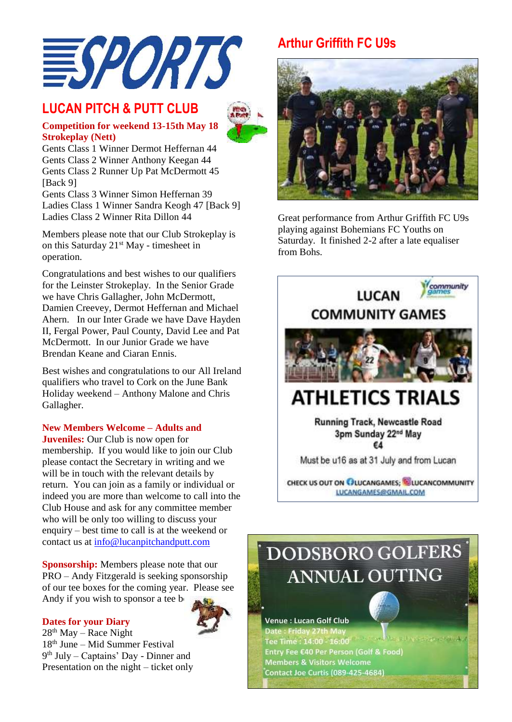

### **LUCAN PITCH & PUTT CLUB**



**Competition for weekend 13-15th May 18 Strokeplay (Nett)** Gents Class 1 Winner Dermot Heffernan 44

Gents Class 2 Winner Anthony Keegan 44 Gents Class 2 Runner Up Pat McDermott 45 [Back 9]

Gents Class 3 Winner Simon Heffernan 39 Ladies Class 1 Winner Sandra Keogh 47 [Back 9] Ladies Class 2 Winner Rita Dillon 44

Members please note that our Club Strokeplay is on this Saturday 21<sup>st</sup> May - timesheet in operation.

Congratulations and best wishes to our qualifiers for the Leinster Strokeplay. In the Senior Grade we have Chris Gallagher, John McDermott, Damien Creevey, Dermot Heffernan and Michael Ahern. In our Inter Grade we have Dave Hayden II, Fergal Power, Paul County, David Lee and Pat McDermott. In our Junior Grade we have Brendan Keane and Ciaran Ennis.

Best wishes and congratulations to our All Ireland qualifiers who travel to Cork on the June Bank Holiday weekend – Anthony Malone and Chris Gallagher.

#### **New Members Welcome – Adults and**

**Juveniles:** Our Club is now open for membership. If you would like to join our Club please contact the Secretary in writing and we will be in touch with the relevant details by return. You can join as a family or individual or indeed you are more than welcome to call into the Club House and ask for any committee member who will be only too willing to discuss your enquiry – best time to call is at the weekend or contact us at [info@lucanpitchandputt.com](mailto:info@lucanpitchandputt.com)

**Sponsorship:** Members please note that our PRO – Andy Fitzgerald is seeking sponsorship of our tee boxes for the coming year. Please see Andy if you wish to sponsor a tee  $b<sub>0</sub>$ .

#### **Dates for your Diary**



 $28<sup>th</sup>$  May – Race Night 18th June – Mid Summer Festival 9 th July – Captains' Day - Dinner and Presentation on the night – ticket only

# **Arthur Griffith FC U9s**



Great performance from Arthur Griffith FC U9s playing against Bohemians FC Youths on Saturday. It finished 2-2 after a late equaliser from Bohs.



Contact Joe Curtis (089-425-4684)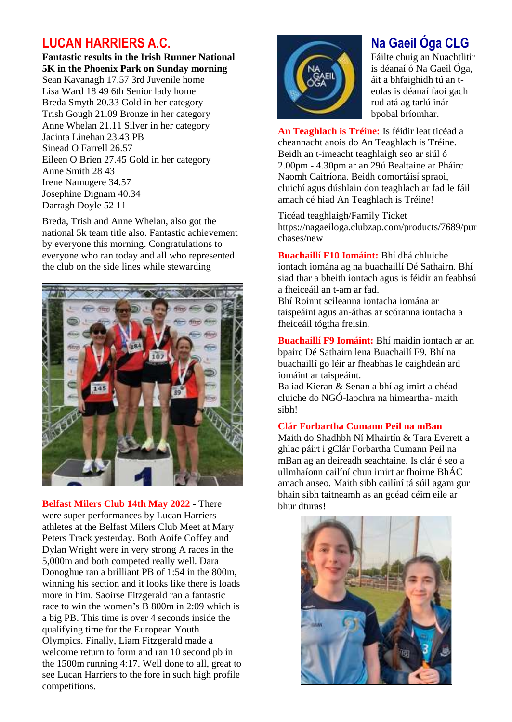### **LUCAN HARRIERS A.C.**

**Fantastic results in the Irish Runner National 5K in the Phoenix Park on Sunday morning**  Sean Kavanagh 17.57 3rd Juvenile home Lisa Ward 18 49 6th Senior lady home Breda Smyth 20.33 Gold in her category Trish Gough 21.09 Bronze in her category Anne Whelan 21.11 Silver in her category Jacinta Linehan 23.43 PB Sinead O Farrell 26.57 Eileen O Brien 27.45 Gold in her category Anne Smith 28 43 Irene Namugere 34.57 Josephine Dignam 40.34 Darragh Doyle 52 11

Breda, Trish and Anne Whelan, also got the national 5k team title also. Fantastic achievement by everyone this morning. Congratulations to everyone who ran today and all who represented the club on the side lines while stewarding



**Belfast Milers Club 14th May 2022 -** There were super performances by Lucan Harriers athletes at the Belfast Milers Club Meet at Mary Peters Track yesterday. Both Aoife Coffey and Dylan Wright were in very strong A races in the 5,000m and both competed really well. Dara Donoghue ran a brilliant PB of 1:54 in the 800m, winning his section and it looks like there is loads more in him. Saoirse Fitzgerald ran a fantastic race to win the women's B 800m in 2:09 which is a big PB. This time is over 4 seconds inside the qualifying time for the European Youth Olympics. Finally, Liam Fitzgerald made a welcome return to form and ran 10 second pb in the 1500m running 4:17. Well done to all, great to see Lucan Harriers to the fore in such high profile competitions.



# **Na Gaeil Óga CLG**

Fáilte chuig an Nuachtlitir is déanaí ó Na Gaeil Óga, áit a bhfaighidh tú an teolas is déanaí faoi gach rud atá ag tarlú inár bpobal bríomhar.

**An Teaghlach is Tréine:** Is féidir leat ticéad a cheannacht anois do An Teaghlach is Tréine. Beidh an t-imeacht teaghlaigh seo ar siúl ó 2.00pm - 4.30pm ar an 29ú Bealtaine ar Pháirc Naomh Caitríona. Beidh comortáisí spraoi, cluichí agus dúshlain don teaghlach ar fad le fáil amach cé hiad An Teaghlach is Tréine!

Ticéad teaghlaigh/Family Ticket https://nagaeiloga.clubzap.com/products/7689/pur chases/new

**Buachaillí F10 Iomáint:** Bhí dhá chluiche iontach iomána ag na buachaillí Dé Sathairn. Bhí siad thar a bheith iontach agus is féidir an feabhsú a fheiceáil an t-am ar fad.

Bhí Roinnt scileanna iontacha iomána ar taispeáint agus an-áthas ar scóranna iontacha a fheiceáil tógtha freisin.

**Buachaillí F9 Iomáint:** Bhí maidin iontach ar an bpairc Dé Sathairn lena Buachailí F9. Bhí na buachaillí go léir ar fheabhas le caighdeán ard iomáint ar taispeáint.

Ba iad Kieran & Senan a bhí ag imirt a chéad cluiche do NGÓ-laochra na himeartha- maith sibh!

#### **Clár Forbartha Cumann Peil na mBan**

Maith do Shadhbh Ní Mhairtín & Tara Everett a ghlac páirt i gClár Forbartha Cumann Peil na mBan ag an deireadh seachtaine. Is clár é seo a ullmhaíonn cailíní chun imirt ar fhoirne BhÁC amach anseo. Maith sibh cailíní tá súil agam gur bhain sibh taitneamh as an gcéad céim eile ar bhur dturas!

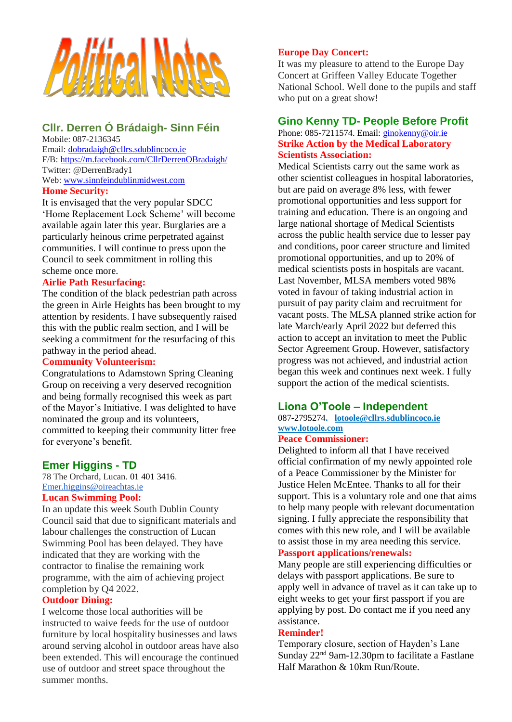

### **Cllr. Derren Ó Brádaigh- Sinn Féin**

Mobile: 087-2136345 Email: [dobradaigh@cllrs.sdublincoco.ie](mailto:dobradaigh@cllrs.sdublincoco.ie) F/B: <https://m.facebook.com/CllrDerrenOBradaigh/> Twitter: @DerrenBrady1 Web: [www.sinnfeindublinmidwest.com](http://www.sinnfeindublinmidwest.com/)

### **Home Security:**

It is envisaged that the very popular SDCC 'Home Replacement Lock Scheme' will become available again later this year. Burglaries are a particularly heinous crime perpetrated against communities. I will continue to press upon the Council to seek commitment in rolling this scheme once more.

#### **Airlie Path Resurfacing:**

The condition of the black pedestrian path across the green in Airle Heights has been brought to my attention by residents. I have subsequently raised this with the public realm section, and I will be seeking a commitment for the resurfacing of this pathway in the period ahead.

#### **Community Volunteerism:**

Congratulations to Adamstown Spring Cleaning Group on receiving a very deserved recognition and being formally recognised this week as part of the Mayor's Initiative. I was delighted to have nominated the group and its volunteers, committed to keeping their community litter free for everyone's benefit.

### **Emer Higgins - TD**

78 The Orchard, Lucan. [01 401 3416.](tel:014013416) [Emer.higgins@oireachtas.ie](mailto:Emer.higgins@oireachtas.ie) **Lucan Swimming Pool:**

In an update this week South Dublin County Council said that due to significant materials and labour challenges the construction of Lucan Swimming Pool has been delayed. They have indicated that they are working with the contractor to finalise the remaining work programme, with the aim of achieving project completion by Q4 2022.

#### **Outdoor Dining:**

I welcome those local authorities will be instructed to waive feeds for the use of outdoor furniture by local hospitality businesses and laws around serving alcohol in outdoor areas have also been extended. This will encourage the continued use of outdoor and street space throughout the summer months.

#### **Europe Day Concert:**

It was my pleasure to attend to the Europe Day Concert at Griffeen Valley Educate Together National School. Well done to the pupils and staff who put on a great show!

#### **Gino Kenny TD- People Before Profit**

#### Phone: 085-7211574. Email: [ginokenny@oir.ie](mailto:ginokenny@oir.ie) **Strike Action by the Medical Laboratory Scientists Association:**

Medical Scientists carry out the same work as other scientist colleagues in hospital laboratories, but are paid on average 8% less, with fewer promotional opportunities and less support for training and education*.* There is an ongoing and large national shortage of Medical Scientists across the public health service due to lesser pay and conditions, poor career structure and limited promotional opportunities, and up to 20% of medical scientists posts in hospitals are vacant. Last November, MLSA members voted 98% voted in favour of taking industrial action in pursuit of pay parity claim and recruitment for vacant posts. The MLSA planned strike action for late March/early April 2022 but deferred this action to accept an invitation to meet the Public Sector Agreement Group. However, satisfactory progress was not achieved, and industrial action began this week and continues next week. I fully support the action of the medical scientists.

#### **Liona O'Toole – Independent**

#### 087-2795274**. [lotoole@cllrs.sdublincoco.ie](mailto:lotoole@cllrs.sdublincoco.ie) [www.lotoole.com](http://www.lotoole.com/)**

### **Peace Commissioner:**

Delighted to inform all that I have received official confirmation of my newly appointed role of a Peace Commissioner by the Minister for Justice Helen McEntee. Thanks to all for their support. This is a voluntary role and one that aims to help many people with relevant documentation signing. I fully appreciate the responsibility that comes with this new role, and I will be available to assist those in my area needing this service.

#### **Passport applications/renewals:**

Many people are still experiencing difficulties or delays with passport applications. Be sure to apply well in advance of travel as it can take up to eight weeks to get your first passport if you are applying by post. Do contact me if you need any assistance.

#### **Reminder!**

Temporary closure, section of Hayden's Lane Sunday 22<sup>nd</sup> 9am-12.30pm to facilitate a Fastlane Half Marathon & 10km Run/Route.